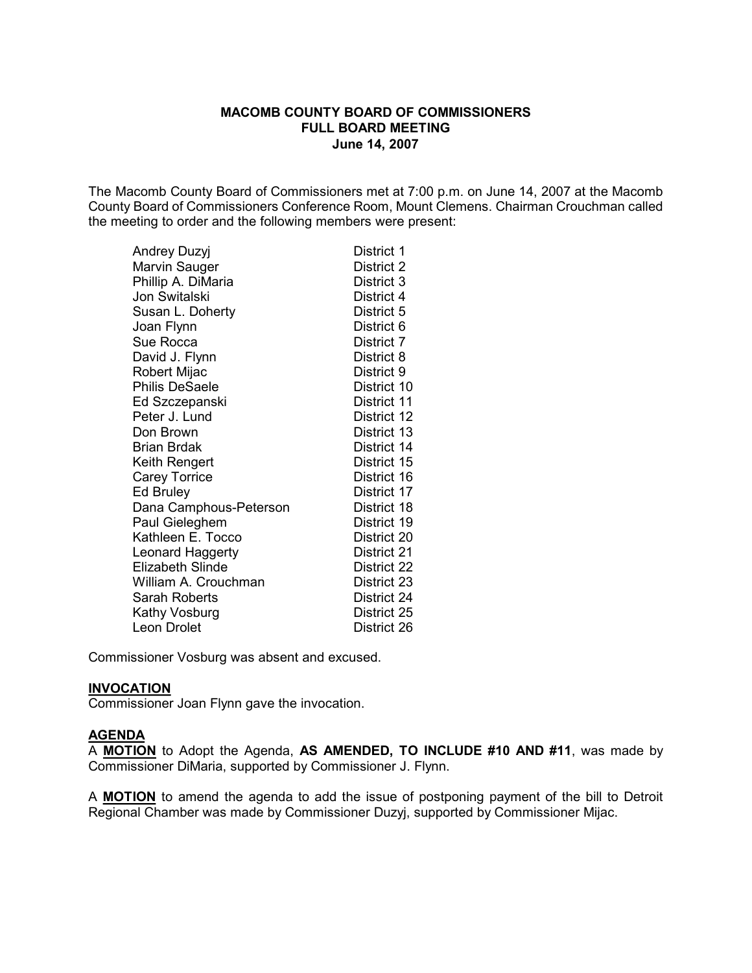The Macomb County Board of Commissioners met at 7:00 p.m. on June 14, 2007 at the Macomb County Board of Commissioners Conference Room, Mount Clemens. Chairman Crouchman called the meeting to order and the following members were present:

| Andrey Duzyj            | District 1  |
|-------------------------|-------------|
| Marvin Sauger           | District 2  |
| Phillip A. DiMaria      | District 3  |
| Jon Switalski           | District 4  |
| Susan L. Doherty        | District 5  |
| Joan Flynn              | District 6  |
| Sue Rocca               | District 7  |
| David J. Flynn          | District 8  |
| Robert Mijac            | District 9  |
| <b>Philis DeSaele</b>   | District 10 |
| Ed Szczepanski          | District 11 |
| Peter J. Lund           | District 12 |
| Don Brown               | District 13 |
| Brian Brdak             | District 14 |
| Keith Rengert           | District 15 |
| <b>Carey Torrice</b>    | District 16 |
| Ed Bruley               | District 17 |
| Dana Camphous-Peterson  | District 18 |
| Paul Gieleghem          | District 19 |
| Kathleen E. Tocco       | District 20 |
| Leonard Haggerty        | District 21 |
| <b>Elizabeth Slinde</b> | District 22 |
| William A. Crouchman    | District 23 |
| Sarah Roberts           | District 24 |
| Kathy Vosburg           | District 25 |
| Leon Drolet             | District 26 |

Commissioner Vosburg was absent and excused.

#### **INVOCATION**

Commissioner Joan Flynn gave the invocation.

# **AGENDA**

A **MOTION** to Adopt the Agenda, **AS AMENDED, TO INCLUDE #10 AND #11**, was made by Commissioner DiMaria, supported by Commissioner J. Flynn.

A **MOTION** to amend the agenda to add the issue of postponing payment of the bill to Detroit Regional Chamber was made by Commissioner Duzyj, supported by Commissioner Mijac.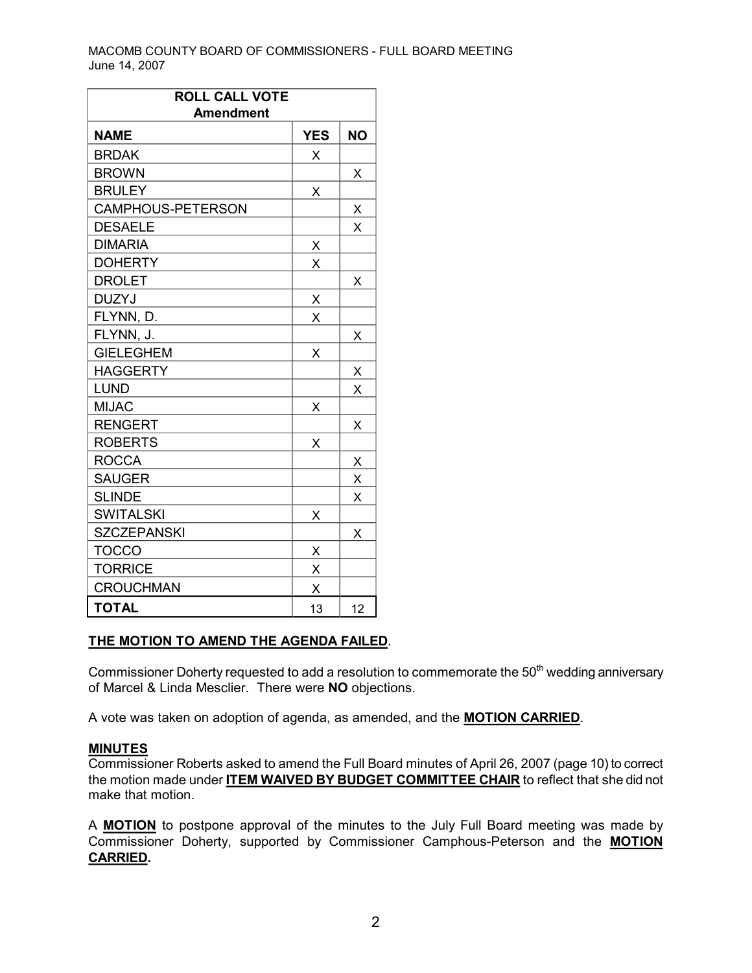| <b>ROLL CALL VOTE</b><br><b>Amendment</b> |                 |           |  |
|-------------------------------------------|-----------------|-----------|--|
| <b>NAME</b>                               | <b>YES</b>      | <b>NO</b> |  |
| <b>BRDAK</b>                              | X               |           |  |
| <b>BROWN</b>                              |                 | X         |  |
| <b>BRULEY</b>                             | Χ               |           |  |
| CAMPHOUS-PETERSON                         |                 | <u>X</u>  |  |
| <b>DESAELE</b>                            |                 | х         |  |
| <b>DIMARIA</b>                            | $\underline{X}$ |           |  |
| <b>DOHERTY</b>                            | X               |           |  |
| <b>DROLET</b>                             |                 | X         |  |
| <b>DUZYJ</b>                              | $\overline{X}$  |           |  |
| FLYNN, D.                                 | X               |           |  |
| FLYNN, J.                                 |                 | X         |  |
| <b>GIELEGHEM</b>                          | X               |           |  |
| <b>HAGGERTY</b>                           |                 | Χ         |  |
| <b>LUND</b>                               |                 | X         |  |
| <b>MIJAC</b>                              | X               |           |  |
| <b>RENGERT</b>                            |                 | X         |  |
| <b>ROBERTS</b>                            | X               |           |  |
| <b>ROCCA</b>                              |                 | X         |  |
| <b>SAUGER</b>                             |                 | X         |  |
| <b>SLINDE</b>                             |                 | X         |  |
| <b>SWITALSKI</b>                          | X               |           |  |
| <b>SZCZEPANSKI</b>                        |                 | X         |  |
| <b>TOCCO</b>                              | X               |           |  |
| <b>TORRICE</b>                            | X               |           |  |
| <b>CROUCHMAN</b>                          | X               |           |  |
| <b>TOTAL</b>                              | 13              | 12        |  |

# **THE MOTION TO AMEND THE AGENDA FAILED**.

Commissioner Doherty requested to add a resolution to commemorate the  $50<sup>th</sup>$  wedding anniversary of Marcel & Linda Mesclier. There were **NO** objections.

A vote was taken on adoption of agenda, as amended, and the **MOTION CARRIED**.

## **MINUTES**

Commissioner Roberts asked to amend the Full Board minutes of April 26, 2007 (page 10) to correct the motion made under **ITEM WAIVED BY BUDGET COMMITTEE CHAIR** to reflect that she did not make that motion.

A **MOTION** to postpone approval of the minutes to the July Full Board meeting was made by Commissioner Doherty, supported by Commissioner Camphous-Peterson and the **MOTION CARRIED.**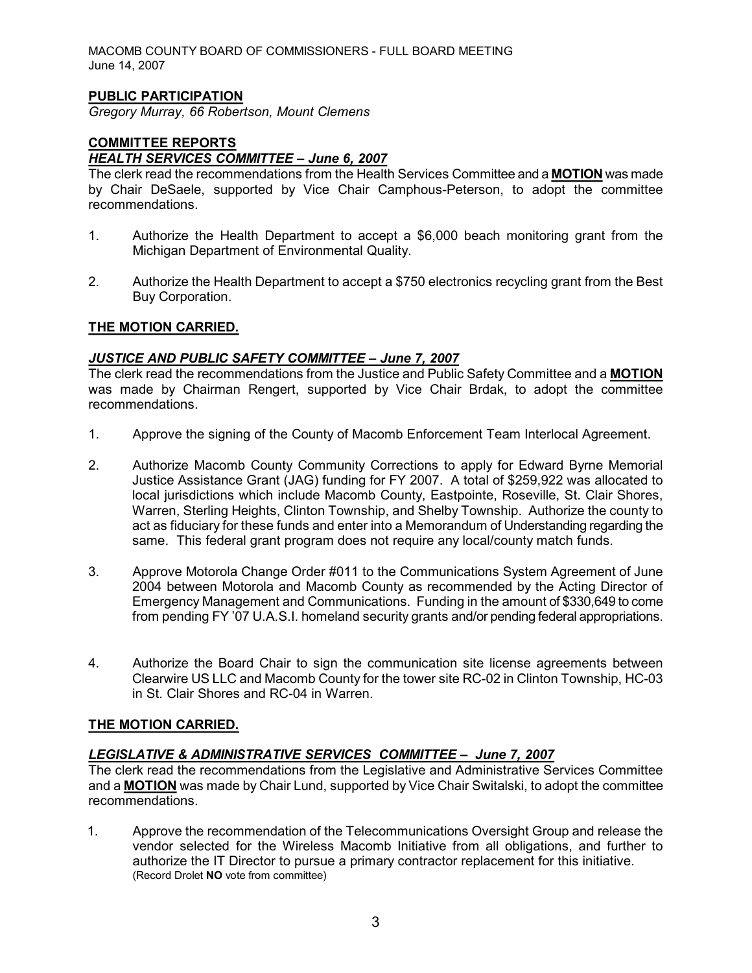# **PUBLIC PARTICIPATION**

*Gregory Murray, 66 Robertson, Mount Clemens*

# **COMMITTEE REPORTS**

#### *HEALTH SERVICES COMMITTEE – June 6, 2007*

The clerk read the recommendations from the Health Services Committee and a **MOTION** was made by Chair DeSaele, supported by Vice Chair Camphous-Peterson, to adopt the committee recommendations.

- 1. Authorize the Health Department to accept a \$6,000 beach monitoring grant from the Michigan Department of Environmental Quality.
- 2. Authorize the Health Department to accept a \$750 electronics recycling grant from the Best Buy Corporation.

#### **THE MOTION CARRIED.**

#### *JUSTICE AND PUBLIC SAFETY COMMITTEE – June 7, 2007*

The clerk read the recommendations from the Justice and Public Safety Committee and a **MOTION** was made by Chairman Rengert, supported by Vice Chair Brdak, to adopt the committee recommendations.

- 1. Approve the signing of the County of Macomb Enforcement Team Interlocal Agreement.
- 2. Authorize Macomb County Community Corrections to apply for Edward Byrne Memorial Justice Assistance Grant (JAG) funding for FY 2007. A total of \$259,922 was allocated to local jurisdictions which include Macomb County, Eastpointe, Roseville, St. Clair Shores, Warren, Sterling Heights, Clinton Township, and Shelby Township. Authorize the county to act as fiduciary for these funds and enter into a Memorandum of Understanding regarding the same. This federal grant program does not require any local/county match funds.
- 3. Approve Motorola Change Order #011 to the Communications System Agreement of June 2004 between Motorola and Macomb County as recommended by the Acting Director of Emergency Management and Communications. Funding in the amount of \$330,649 to come from pending FY '07 U.A.S.I. homeland security grants and/or pending federal appropriations.
- 4. Authorize the Board Chair to sign the communication site license agreements between Clearwire US LLC and Macomb County for the tower site RC-02 in Clinton Township, HC-03 in St. Clair Shores and RC-04 in Warren.

#### **THE MOTION CARRIED.**

#### *LEGISLATIVE & ADMINISTRATIVE SERVICES COMMITTEE – June 7, 2007*

The clerk read the recommendations from the Legislative and Administrative Services Committee and a **MOTION** was made by Chair Lund, supported by Vice Chair Switalski, to adopt the committee recommendations.

1. Approve the recommendation of the Telecommunications Oversight Group and release the vendor selected for the Wireless Macomb Initiative from all obligations, and further to authorize the IT Director to pursue a primary contractor replacement for this initiative. (Record Drolet **NO** vote from committee)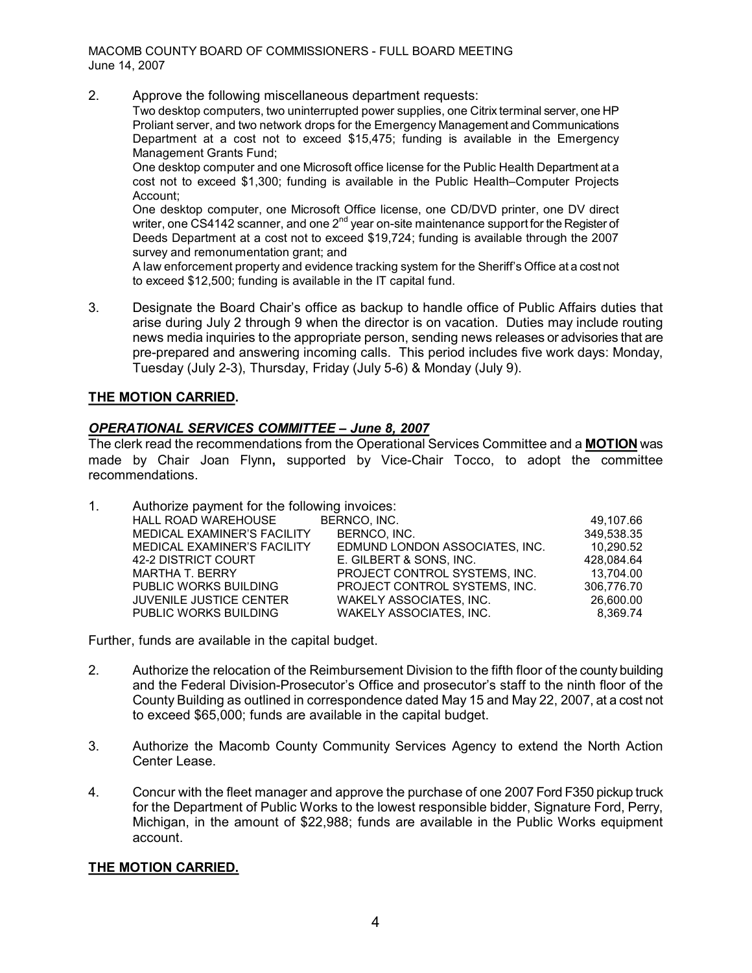2. Approve the following miscellaneous department requests:

Two desktop computers, two uninterrupted power supplies, one Citrix terminal server, one HP Proliant server, and two network drops for the Emergency Management and Communications Department at a cost not to exceed \$15,475; funding is available in the Emergency Management Grants Fund;

One desktop computer and one Microsoft office license for the Public Health Department at a cost not to exceed \$1,300; funding is available in the Public Health–Computer Projects Account;

One desktop computer, one Microsoft Office license, one CD/DVD printer, one DV direct writer, one CS4142 scanner, and one  $2<sup>nd</sup>$  year on-site maintenance support for the Register of Deeds Department at a cost not to exceed \$19,724; funding is available through the 2007 survey and remonumentation grant; and

A law enforcement property and evidence tracking system for the Sheriff's Office at a cost not to exceed \$12,500; funding is available in the IT capital fund.

3. Designate the Board Chair's office as backup to handle office of Public Affairs duties that arise during July 2 through 9 when the director is on vacation. Duties may include routing news media inquiries to the appropriate person, sending news releases or advisories that are pre-prepared and answering incoming calls. This period includes five work days: Monday, Tuesday (July 2-3), Thursday, Friday (July 5-6) & Monday (July 9).

#### **THE MOTION CARRIED.**

### *OPERATIONAL SERVICES COMMITTEE – June 8, 2007*

The clerk read the recommendations from the Operational Services Committee and a **MOTION** was made by Chair Joan Flynn, supported by Vice-Chair Tocco, to adopt the committee recommendations.

| Authorize payment for the following invoices: |                                |            |  |
|-----------------------------------------------|--------------------------------|------------|--|
| HALL ROAD WAREHOUSE                           | BERNCO, INC.                   | 49,107.66  |  |
| <b>MEDICAL EXAMINER'S FACILITY</b>            | BERNCO, INC.                   | 349,538.35 |  |
| <b>MEDICAL EXAMINER'S FACILITY</b>            | EDMUND LONDON ASSOCIATES, INC. | 10,290.52  |  |
| 42-2 DISTRICT COURT                           | E. GILBERT & SONS, INC.        | 428.084.64 |  |
| <b>MARTHA T. BERRY</b>                        | PROJECT CONTROL SYSTEMS, INC.  | 13,704.00  |  |
| PUBLIC WORKS BUILDING                         | PROJECT CONTROL SYSTEMS, INC.  | 306,776.70 |  |
| <b>JUVENILE JUSTICE CENTER</b>                | WAKELY ASSOCIATES, INC.        | 26,600.00  |  |
| PUBLIC WORKS BUILDING                         | WAKELY ASSOCIATES, INC.        | 8,369.74   |  |
|                                               |                                |            |  |

Further, funds are available in the capital budget.

- 2. Authorize the relocation of the Reimbursement Division to the fifth floor of the county building and the Federal Division-Prosecutor's Office and prosecutor's staff to the ninth floor of the County Building as outlined in correspondence dated May 15 and May 22, 2007, at a cost not to exceed \$65,000; funds are available in the capital budget.
- 3. Authorize the Macomb County Community Services Agency to extend the North Action Center Lease.
- 4. Concur with the fleet manager and approve the purchase of one 2007 Ford F350 pickup truck for the Department of Public Works to the lowest responsible bidder, Signature Ford, Perry, Michigan, in the amount of \$22,988; funds are available in the Public Works equipment account.

#### **THE MOTION CARRIED.**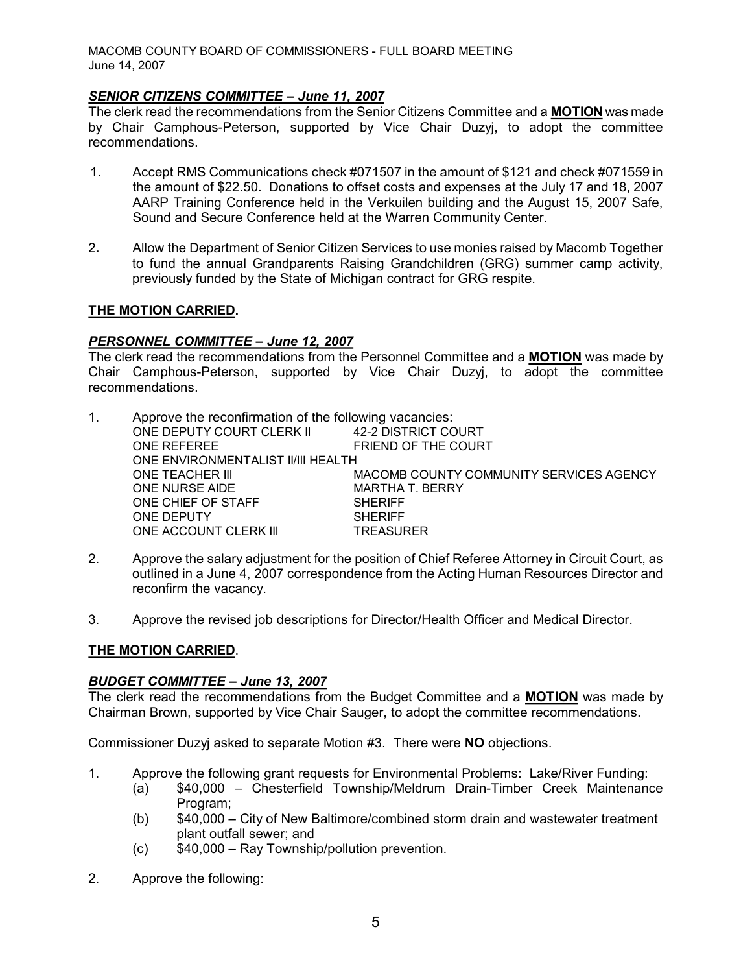# *SENIOR CITIZENS COMMITTEE – June 11, 2007*

The clerk read the recommendations from the Senior Citizens Committee and a **MOTION** was made by Chair Camphous-Peterson, supported by Vice Chair Duzyj, to adopt the committee recommendations.

- 1. Accept RMS Communications check #071507 in the amount of \$121 and check #071559 in the amount of \$22.50. Donations to offset costs and expenses at the July 17 and 18, 2007 AARP Training Conference held in the Verkuilen building and the August 15, 2007 Safe, Sound and Secure Conference held at the Warren Community Center.
- 2**.** Allow the Department of Senior Citizen Services to use monies raised by Macomb Together to fund the annual Grandparents Raising Grandchildren (GRG) summer camp activity, previously funded by the State of Michigan contract for GRG respite.

### **THE MOTION CARRIED.**

### *PERSONNEL COMMITTEE – June 12, 2007*

The clerk read the recommendations from the Personnel Committee and a **MOTION** was made by Chair Camphous-Peterson, supported by Vice Chair Duzyj, to adopt the committee recommendations.

| 1. |                                               | Approve the reconfirmation of the following vacancies: |  |  |  |
|----|-----------------------------------------------|--------------------------------------------------------|--|--|--|
|    | ONE DEPUTY COURT CLERK II 42-2 DISTRICT COURT |                                                        |  |  |  |
|    | ONE REFEREE                                   | FRIEND OF THE COURT                                    |  |  |  |
|    | ONE ENVIRONMENTALIST II/III HEALTH            |                                                        |  |  |  |
|    | <b>ONE TEACHER III</b>                        | MACOMB COUNTY COMMUNITY SERVICES AGENCY                |  |  |  |
|    | ONE NURSE AIDE                                | <b>MARTHA T. BERRY</b>                                 |  |  |  |
|    | ONE CHIEF OF STAFF                            | <b>SHERIFF</b>                                         |  |  |  |
|    | ONE DEPUTY                                    | <b>SHERIFF</b>                                         |  |  |  |
|    | ONE ACCOUNT CLERK III                         | <b>TREASURER</b>                                       |  |  |  |
|    |                                               |                                                        |  |  |  |

- 2. Approve the salary adjustment for the position of Chief Referee Attorney in Circuit Court, as outlined in a June 4, 2007 correspondence from the Acting Human Resources Director and reconfirm the vacancy.
- 3. Approve the revised job descriptions for Director/Health Officer and Medical Director.

#### **THE MOTION CARRIED**.

#### *BUDGET COMMITTEE – June 13, 2007*

The clerk read the recommendations from the Budget Committee and a **MOTION** was made by Chairman Brown, supported by Vice Chair Sauger, to adopt the committee recommendations.

Commissioner Duzyj asked to separate Motion #3. There were **NO** objections.

- 1. Approve the following grant requests for Environmental Problems: Lake/River Funding:
	- (a) \$40,000 Chesterfield Township/Meldrum Drain-Timber Creek Maintenance Program;
	- (b) \$40,000 City of New Baltimore/combined storm drain and wastewater treatment plant outfall sewer; and
	- (c) \$40,000 Ray Township/pollution prevention.
- 2. Approve the following: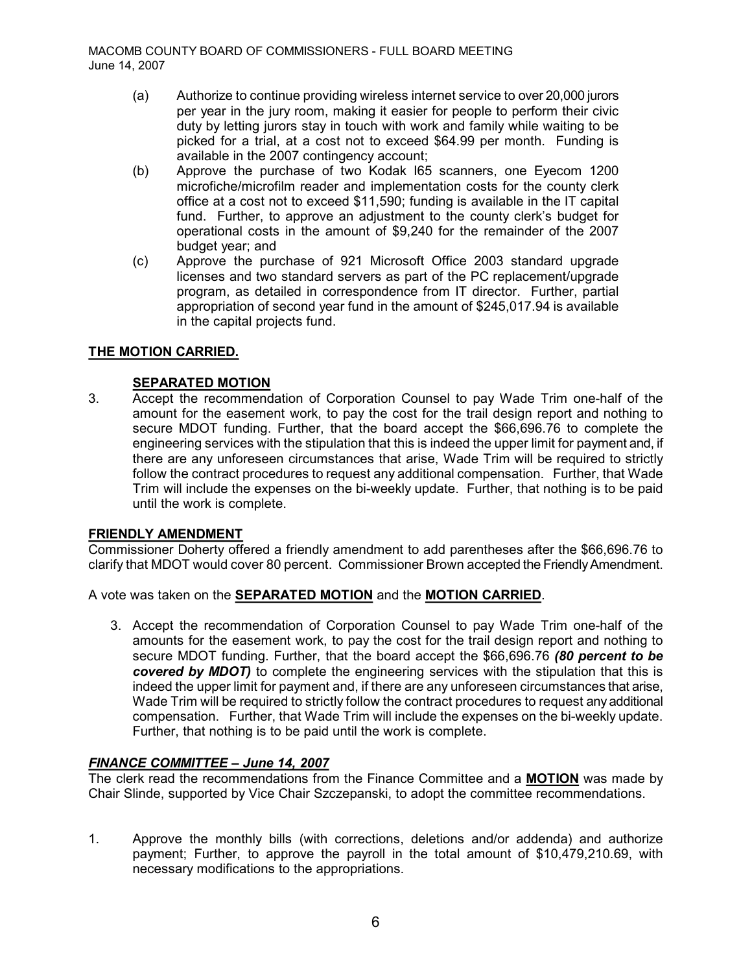- (a) Authorize to continue providing wireless internet service to over 20,000 jurors per year in the jury room, making it easier for people to perform their civic duty by letting jurors stay in touch with work and family while waiting to be picked for a trial, at a cost not to exceed \$64.99 per month. Funding is available in the 2007 contingency account;
- (b) Approve the purchase of two Kodak I65 scanners, one Eyecom 1200 microfiche/microfilm reader and implementation costs for the county clerk office at a cost not to exceed \$11,590; funding is available in the IT capital fund. Further, to approve an adjustment to the county clerk's budget for operational costs in the amount of \$9,240 for the remainder of the 2007 budget year; and
- (c) Approve the purchase of 921 Microsoft Office 2003 standard upgrade licenses and two standard servers as part of the PC replacement/upgrade program, as detailed in correspondence from IT director. Further, partial appropriation of second year fund in the amount of \$245,017.94 is available in the capital projects fund.

# **THE MOTION CARRIED.**

# **SEPARATED MOTION**

3. Accept the recommendation of Corporation Counsel to pay Wade Trim one-half of the amount for the easement work, to pay the cost for the trail design report and nothing to secure MDOT funding. Further, that the board accept the \$66,696.76 to complete the engineering services with the stipulation that this is indeed the upper limit for payment and, if there are any unforeseen circumstances that arise, Wade Trim will be required to strictly follow the contract procedures to request any additional compensation. Further, that Wade Trim will include the expenses on the bi-weekly update. Further, that nothing is to be paid until the work is complete.

# **FRIENDLY AMENDMENT**

Commissioner Doherty offered a friendly amendment to add parentheses after the \$66,696.76 to clarify that MDOT would cover 80 percent. Commissioner Brown accepted the FriendlyAmendment.

A vote was taken on the **SEPARATED MOTION** and the **MOTION CARRIED**.

3. Accept the recommendation of Corporation Counsel to pay Wade Trim one-half of the amounts for the easement work, to pay the cost for the trail design report and nothing to secure MDOT funding. Further, that the board accept the \$66,696.76 *(80 percent to be covered by MDOT)* to complete the engineering services with the stipulation that this is indeed the upper limit for payment and, if there are any unforeseen circumstances that arise, Wade Trim will be required to strictly follow the contract procedures to request any additional compensation. Further, that Wade Trim will include the expenses on the bi-weekly update. Further, that nothing is to be paid until the work is complete.

# *FINANCE COMMITTEE – June 14, 2007*

The clerk read the recommendations from the Finance Committee and a **MOTION** was made by Chair Slinde, supported by Vice Chair Szczepanski, to adopt the committee recommendations.

1. Approve the monthly bills (with corrections, deletions and/or addenda) and authorize payment; Further, to approve the payroll in the total amount of \$10,479,210.69, with necessary modifications to the appropriations.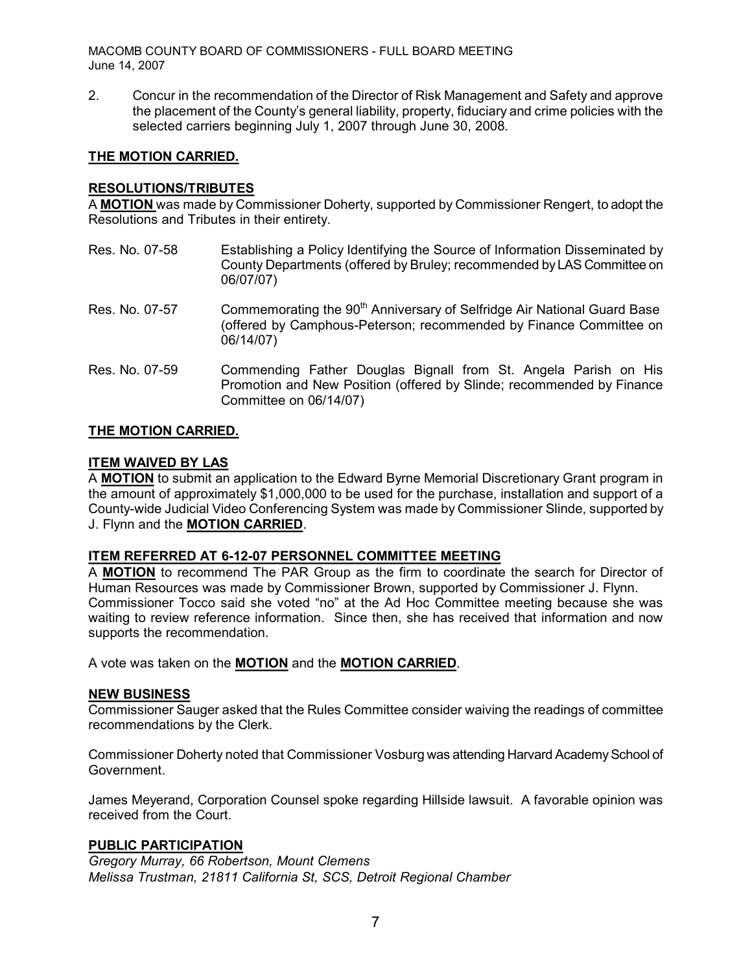2. Concur in the recommendation of the Director of Risk Management and Safety and approve the placement of the County's general liability, property, fiduciary and crime policies with the selected carriers beginning July 1, 2007 through June 30, 2008.

# **THE MOTION CARRIED.**

## **RESOLUTIONS/TRIBUTES**

A **MOTION** was made by Commissioner Doherty, supported by Commissioner Rengert, to adopt the Resolutions and Tributes in their entirety.

- Res. No. 07-58 Establishing a Policy Identifying the Source of Information Disseminated by County Departments (offered by Bruley; recommended by LAS Committee on 06/07/07)
- Res. No. 07-57 Commemorating the 90<sup>th</sup> Anniversary of Selfridge Air National Guard Base (offered by Camphous-Peterson; recommended by Finance Committee on 06/14/07)
- Res. No. 07-59 Commending Father Douglas Bignall from St. Angela Parish on His Promotion and New Position (offered by Slinde; recommended by Finance Committee on 06/14/07)

# **THE MOTION CARRIED.**

# **ITEM WAIVED BY LAS**

A **MOTION** to submit an application to the Edward Byrne Memorial Discretionary Grant program in the amount of approximately \$1,000,000 to be used for the purchase, installation and support of a Countywide Judicial Video Conferencing System was made by Commissioner Slinde, supported by J. Flynn and the **MOTION CARRIED**.

## **ITEM REFERRED AT 61207 PERSONNEL COMMITTEE MEETING**

A **MOTION** to recommend The PAR Group as the firm to coordinate the search for Director of Human Resources was made by Commissioner Brown, supported by Commissioner J. Flynn. Commissioner Tocco said she voted "no" at the Ad Hoc Committee meeting because she was waiting to review reference information. Since then, she has received that information and now supports the recommendation.

A vote was taken on the **MOTION** and the **MOTION CARRIED**.

## **NEW BUSINESS**

Commissioner Sauger asked that the Rules Committee consider waiving the readings of committee recommendations by the Clerk.

Commissioner Doherty noted that Commissioner Vosburg was attending Harvard AcademySchool of Government.

James Meyerand, Corporation Counsel spoke regarding Hillside lawsuit. A favorable opinion was received from the Court.

## **PUBLIC PARTICIPATION**

*Gregory Murray, 66 Robertson, Mount Clemens Melissa Trustman, 21811 California St, SCS, Detroit Regional Chamber*